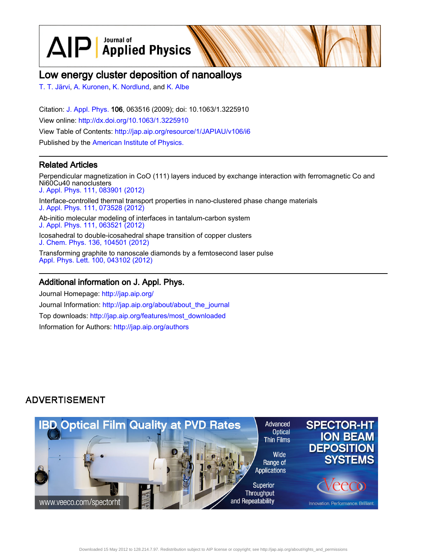$\text{AlP}$  Applied Physics

# Low energy cluster deposition of nanoalloys

[T. T. Järvi](http://jap.aip.org/search?sortby=newestdate&q=&searchzone=2&searchtype=searchin&faceted=faceted&key=AIP_ALL&possible1=T. T. J�rvi&possible1zone=author&alias=&displayid=AIP&ver=pdfcov), [A. Kuronen,](http://jap.aip.org/search?sortby=newestdate&q=&searchzone=2&searchtype=searchin&faceted=faceted&key=AIP_ALL&possible1=A. Kuronen&possible1zone=author&alias=&displayid=AIP&ver=pdfcov) [K. Nordlund](http://jap.aip.org/search?sortby=newestdate&q=&searchzone=2&searchtype=searchin&faceted=faceted&key=AIP_ALL&possible1=K. Nordlund&possible1zone=author&alias=&displayid=AIP&ver=pdfcov), and [K. Albe](http://jap.aip.org/search?sortby=newestdate&q=&searchzone=2&searchtype=searchin&faceted=faceted&key=AIP_ALL&possible1=K. Albe&possible1zone=author&alias=&displayid=AIP&ver=pdfcov)

Citation: [J. Appl. Phys.](http://jap.aip.org/?ver=pdfcov) 106, 063516 (2009); doi: 10.1063/1.3225910 View online: [http://dx.doi.org/10.1063/1.3225910](http://link.aip.org/link/doi/10.1063/1.3225910?ver=pdfcov) View Table of Contents: [http://jap.aip.org/resource/1/JAPIAU/v106/i6](http://jap.aip.org/resource/1/JAPIAU/v106/i6?ver=pdfcov) Published by the [American Institute of Physics.](http://www.aip.org/?ver=pdfcov)

### Related Articles

Perpendicular magnetization in CoO (111) layers induced by exchange interaction with ferromagnetic Co and Ni60Cu40 nanoclusters [J. Appl. Phys. 111, 083901 \(2012\)](http://link.aip.org/link/doi/10.1063/1.3702445?ver=pdfcov) Interface-controlled thermal transport properties in nano-clustered phase change materials [J. Appl. Phys. 111, 073528 \(2012\)](http://link.aip.org/link/doi/10.1063/1.3703071?ver=pdfcov) Ab-initio molecular modeling of interfaces in tantalum-carbon system [J. Appl. Phys. 111, 063521 \(2012\)](http://link.aip.org/link/doi/10.1063/1.3695368?ver=pdfcov) Icosahedral to double-icosahedral shape transition of copper clusters [J. Chem. Phys. 136, 104501 \(2012\)](http://link.aip.org/link/doi/10.1063/1.3689442?ver=pdfcov) Transforming graphite to nanoscale diamonds by a femtosecond laser pulse [Appl. Phys. Lett. 100, 043102 \(2012\)](http://link.aip.org/link/doi/10.1063/1.3678190?ver=pdfcov)

### Additional information on J. Appl. Phys.

Journal Homepage: [http://jap.aip.org/](http://jap.aip.org/?ver=pdfcov) Journal Information: [http://jap.aip.org/about/about\\_the\\_journal](http://jap.aip.org/about/about_the_journal?ver=pdfcov) Top downloads: [http://jap.aip.org/features/most\\_downloaded](http://jap.aip.org/features/most_downloaded?ver=pdfcov) Information for Authors: [http://jap.aip.org/authors](http://jap.aip.org/authors?ver=pdfcov)

### **ADVERTISEMENT**



Downloaded 15 May 2012 to 128.214.7.97. Redistribution subject to AIP license or copyright; see http://jap.aip.org/about/rights\_and\_permissions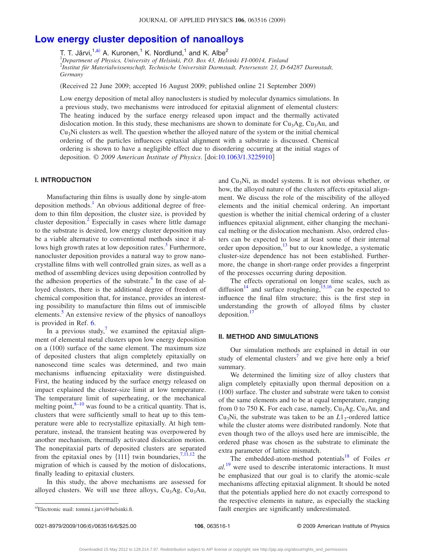## **[Low energy cluster deposition of nanoalloys](http://dx.doi.org/10.1063/1.3225910)**

T. T. Järvi,<sup>1[,a](#page-1-0))</sup> A. Kuronen,<sup>1</sup> K. Nordlund,<sup>1</sup> and K. Albe<sup>2</sup>

1 *Department of Physics, University of Helsinki, P.O. Box 43, Helsinki FI-00014, Finland* 2 *Institut für Materialwissenschaft, Technische Universität Darmstadt, Petersenstr. 23, D-64287 Darmstadt, Germany*

Received 22 June 2009; accepted 16 August 2009; published online 21 September 2009-

Low energy deposition of metal alloy nanoclusters is studied by molecular dynamics simulations. In a previous study, two mechanisms were introduced for epitaxial alignment of elemental clusters: The heating induced by the surface energy released upon impact and the thermally activated dislocation motion. In this study, these mechanisms are shown to dominate for  $Cu<sub>3</sub>Ag$ ,  $Cu<sub>3</sub>Au$ , and  $Cu<sub>3</sub>Ni$  clusters as well. The question whether the alloyed nature of the system or the initial chemical ordering of the particles influences epitaxial alignment with a substrate is discussed. Chemical ordering is shown to have a negligible effect due to disordering occurring at the initial stages of deposition. © 2009 American Institute of Physics. [doi[:10.1063/1.3225910](http://dx.doi.org/10.1063/1.3225910)]

### **I. INTRODUCTION**

Manufacturing thin films is usually done by single-atom deposition methods.<sup>1</sup> An obvious additional degree of freedom to thin film deposition, the cluster size, is provided by cluster deposition.<sup>2</sup> Especially in cases where little damage to the substrate is desired, low energy cluster deposition may be a viable alternative to conventional methods since it allows high growth rates at low deposition rates.<sup>3</sup> Furthermore, nanocluster deposition provides a natural way to grow nanocrystalline films with well controlled grain sizes, as well as a method of assembling devices using deposition controlled by the adhesion properties of the substrate.<sup>4</sup> In the case of alloyed clusters, there is the additional degree of freedom of chemical composition that, for instance, provides an interesting possibility to manufacture thin films out of immiscible elements.<sup>5</sup> An extensive review of the physics of nanoalloys is provided in Ref. [6.](#page-6-5)

In a previous study,<sup>7</sup> we examined the epitaxial alignment of elemental metal clusters upon low energy deposition on a (100) surface of the same element. The maximum size of deposited clusters that align completely epitaxially on nanosecond time scales was determined, and two main mechanisms influencing epitaxiality were distinguished. First, the heating induced by the surface energy released on impact explained the cluster-size limit at low temperature. The temperature limit of superheating, or the mechanical melting point, $8-10$  $8-10$  was found to be a critical quantity. That is, clusters that were sufficiently small to heat up to this temperature were able to recrystallize epitaxially. At high temperature, instead, the transient heating was overpowered by another mechanism, thermally activated dislocation motion. The nonepitaxial parts of deposited clusters are separated from the epitaxial ones by  $\{111\}$  $\{111\}$  $\{111\}$  twin boundaries,<sup>7,11[,12](#page-6-10)</sup> the migration of which is caused by the motion of dislocations, finally leading to epitaxial clusters.

In this study, the above mechanisms are assessed for alloyed clusters. We will use three alloys,  $Cu<sub>3</sub>Ag$ ,  $Cu<sub>3</sub>Au$ , and  $Cu<sub>3</sub>Ni$ , as model systems. It is not obvious whether, or how, the alloyed nature of the clusters affects epitaxial alignment. We discuss the role of the miscibility of the alloyed elements and the initial chemical ordering. An important question is whether the initial chemical ordering of a cluster influences epitaxial alignment, either changing the mechanical melting or the dislocation mechanism. Also, ordered clusters can be expected to lose at least some of their internal order upon deposition, $^{13}$  but to our knowledge, a systematic cluster-size dependence has not been established. Furthermore, the change in short-range order provides a fingerprint of the processes occurring during deposition.

The effects operational on longer time scales, such as diffusion<sup>14</sup> and surface roughening,  $15,16$  $15,16$  can be expected to influence the final film structure; this is the first step in understanding the growth of alloyed films by cluster deposition.<sup>17</sup>

#### **II. METHOD AND SIMULATIONS**

Our simulation methods are explained in detail in our study of elemental clusters<sup>7</sup> and we give here only a brief summary.

We determined the limiting size of alloy clusters that align completely epitaxially upon thermal deposition on a (100) surface. The cluster and substrate were taken to consist of the same elements and to be at equal temperature, ranging from 0 to 750 K. For each case, namely,  $Cu<sub>3</sub>Ag$ ,  $Cu<sub>3</sub>Au$ , and Cu<sub>3</sub>Ni, the substrate was taken to be an  $L1_2$ -ordered lattice while the cluster atoms were distributed randomly. Note that even though two of the alloys used here are immiscible, the ordered phase was chosen as the substrate to eliminate the extra parameter of lattice mismatch.

The embedded-atom-method potentials<sup>18</sup> of Foiles *et al.*[19](#page-6-17) were used to describe interatomic interactions. It must be emphasized that our goal is to clarify the atomic-scale mechanisms affecting epitaxial alignment. It should be noted that the potentials applied here do not exactly correspond to the respective elements in nature, as especially the stacking fault energies are significantly underestimated.

0021-8979/2009/106(6)/063516/6/\$25.00

<span id="page-1-0"></span>Electronic mail: tommi.t.jarvi@helsinki.fi.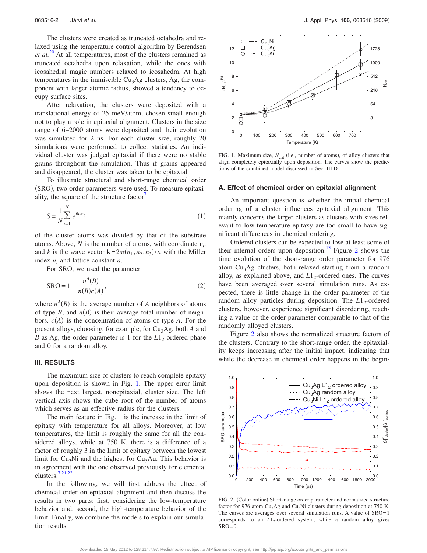The clusters were created as truncated octahedra and relaxed using the temperature control algorithm by Berendsen *et al.*[20](#page-6-18) At all temperatures, most of the clusters remained as truncated octahedra upon relaxation, while the ones with icosahedral magic numbers relaxed to icosahedra. At high temperatures in the immiscible  $Cu<sub>3</sub>Ag$  clusters, Ag, the component with larger atomic radius, showed a tendency to occupy surface sites.

After relaxation, the clusters were deposited with a translational energy of 25 meV/atom, chosen small enough not to play a role in epitaxial alignment. Clusters in the size range of 6–2000 atoms were deposited and their evolution was simulated for 2 ns. For each cluster size, roughly 20 simulations were performed to collect statistics. An individual cluster was judged epitaxial if there were no stable grains throughout the simulation. Thus if grains appeared and disappeared, the cluster was taken to be epitaxial.

To illustrate structural and short-range chemical order (SRO), two order parameters were used. To measure epitaxiality, the square of the structure factor<sup>1</sup>

$$
S = \frac{1}{N} \sum_{i=1}^{N} e^{i\mathbf{k} \cdot \mathbf{r}_i}
$$
 (1)

of the cluster atoms was divided by that of the substrate atoms. Above, *N* is the number of atoms, with coordinate **r***<sup>i</sup>* , and *k* is the wave vector  $\mathbf{k} = 2\pi(n_1, n_2, n_3)/a$  with the Miller index  $n_i$  and lattice constant  $a$ .

For SRO, we used the parameter

$$
SRO = 1 - \frac{n^A(B)}{n(B)c(A)},
$$
\n<sup>(2)</sup>

where  $n^A(B)$  is the average number of *A* neighbors of atoms of type  $B$ , and  $n(B)$  is their average total number of neighbors.  $c(A)$  is the concentration of atoms of type  $A$ . For the present alloys, choosing, for example, for Cu<sub>3</sub>Ag, both *A* and *B* as Ag, the order parameter is 1 for the *L*1<sub>2</sub>-ordered phase and 0 for a random alloy.

#### **III. RESULTS**

The maximum size of clusters to reach complete epitaxy upon deposition is shown in Fig. [1.](#page-2-0) The upper error limit shows the next largest, nonepitaxial, cluster size. The left vertical axis shows the cube root of the number of atoms which serves as an effective radius for the clusters.

The main feature in Fig. [1](#page-2-0) is the increase in the limit of epitaxy with temperature for all alloys. Moreover, at low temperatures, the limit is roughly the same for all the considered alloys, while at 750 K, there is a difference of a factor of roughly 3 in the limit of epitaxy between the lowest limit for  $Cu<sub>3</sub>Ni$  and the highest for  $Cu<sub>3</sub>Au$ . This behavior is in agreement with the one observed previously for elemental clusters[.7,](#page-6-6)[21](#page-6-19)[,22](#page-6-20)

In the following, we will first address the effect of chemical order on epitaxial alignment and then discuss the results in two parts: first, considering the low-temperature behavior and, second, the high-temperature behavior of the limit. Finally, we combine the models to explain our simulation results.

<span id="page-2-0"></span>

FIG. 1. Maximum size,  $N_{\text{crit}}$  (i.e., number of atoms), of alloy clusters that align completely epitaxially upon deposition. The curves show the predictions of the combined model discussed in Sec. III D.

#### **A. Effect of chemical order on epitaxial alignment**

An important question is whether the initial chemical ordering of a cluster influences epitaxial alignment. This mainly concerns the larger clusters as clusters with sizes relevant to low-temperature epitaxy are too small to have significant differences in chemical ordering.

Ordered clusters can be expected to lose at least some of their internal orders upon deposition.<sup>13</sup> Figure [2](#page-2-1) shows the time evolution of the short-range order parameter for 976 atom  $Cu<sub>3</sub>Ag$  clusters, both relaxed starting from a random alloy, as explained above, and  $L1<sub>2</sub>$ -ordered ones. The curves have been averaged over several simulation runs. As expected, there is little change in the order parameter of the random alloy particles during deposition. The *L*1<sub>2</sub>-ordered clusters, however, experience significant disordering, reaching a value of the order parameter comparable to that of the randomly alloyed clusters.

Figure [2](#page-2-1) also shows the normalized structure factors of the clusters. Contrary to the short-range order, the epitaxiality keeps increasing after the initial impact, indicating that while the decrease in chemical order happens in the begin-

<span id="page-2-1"></span>

FIG. 2. (Color online) Short-range order parameter and normalized structure factor for 976 atom Cu<sub>3</sub>Ag and Cu<sub>3</sub>Ni clusters during deposition at 750 K. The curves are averages over several simulation runs. A value of SRO=1 corresponds to an *L*1<sub>2</sub>-ordered system, while a random alloy gives  $SRO = 0$ .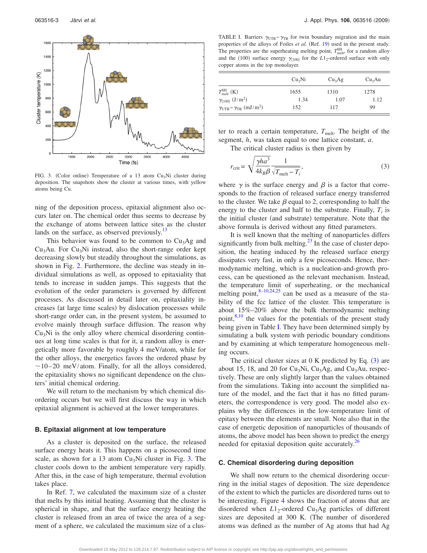<span id="page-3-0"></span>

FIG. 3. (Color online) Temperature of a 13 atom Cu<sub>3</sub>Ni cluster during deposition. The snapshots show the cluster at various times, with yellow atoms being Cu.

ning of the deposition process, epitaxial alignment also occurs later on. The chemical order thus seems to decrease by the exchange of atoms between lattice sites as the cluster lands on the surface, as observed previously. $^{13}$ 

This behavior was found to be common to  $Cu<sub>3</sub>Ag$  and  $Cu<sub>3</sub>Au$ . For  $Cu<sub>3</sub>Ni$  instead, also the short-range order kept decreasing slowly but steadily throughout the simulations, as shown in Fig. [2.](#page-2-1) Furthermore, the decline was steady in individual simulations as well, as opposed to epitaxiality that tends to increase in sudden jumps. This suggests that the evolution of the order parameters is governed by different processes. As discussed in detail later on, epitaxiality increases (at large time scales) by dislocation processes while short-range order can, in the present system, be assumed to evolve mainly through surface diffusion. The reason why  $Cu<sub>3</sub>Ni$  is the only alloy where chemical disordering continues at long time scales is that for it, a random alloy is energetically more favorable by roughly 4 meV/atom, while for the other alloys, the energetics favors the ordered phase by  $\sim$ 10–20 meV/atom. Finally, for all the alloys considered, the epitaxiality shows no significant dependence on the clusters' initial chemical ordering.

We will return to the mechanism by which chemical disordering occurs but we will first discuss the way in which epitaxial alignment is achieved at the lower temperatures.

#### **B. Epitaxial alignment at low temperature**

As a cluster is deposited on the surface, the released surface energy heats it. This happens on a picosecond time scale, as shown for a 13 atom  $Cu<sub>3</sub>Ni$  cluster in Fig. [3.](#page-3-0) The cluster cools down to the ambient temperature very rapidly. After this, in the case of high temperature, thermal evolution takes place.

In Ref. [7,](#page-6-6) we calculated the maximum size of a cluster that melts by this initial heating. Assuming that the cluster is spherical in shape, and that the surface energy heating the cluster is released from an area of twice the area of a segment of a sphere, we calculated the maximum size of a clus-

<span id="page-3-1"></span>TABLE I. Barriers  $\gamma_{\text{UTB}} - \gamma_{\text{TB}}$  for twin boundary migration and the main properties of the alloys of Foiles et al. (Ref. [19](#page-6-17)) used in the present study. The properties are the superheating melting point,  $T_{\text{melt}}^{\text{SH}}$ , for a random alloy and the (100) surface energy  $\gamma_{\{100\}}$  for the  $L1_2$ -ordered surface with only copper atoms in the top monolayer.

|                                                                 | Cu <sub>3</sub> Ni | Cu <sub>3</sub> Ag | Cu <sub>3</sub> Au |
|-----------------------------------------------------------------|--------------------|--------------------|--------------------|
| $T_{\text{melt}}^{\text{SH}}\left(\text{K}\right)$              | 1655               | 1310               | 1278               |
| $\gamma_{\{100\}}\ (J/m^2)$                                     | 1.34               | 1.07               | 1.12               |
| $\gamma_{\text{UTB}} - \gamma_{\text{TB}}$ (mJ/m <sup>2</sup> ) | 152                | 117                | 99                 |

ter to reach a certain temperature,  $T_{\text{melt}}$ . The height of the segment, *h*, was taken equal to one lattice constant, *a*.

The critical cluster radius is then given by

<span id="page-3-2"></span>
$$
r_{\rm crit} = \sqrt{\frac{\gamma h a^3}{4k_B \beta}} \frac{1}{\sqrt{T_{\rm melt} - T_i}},
$$
\n(3)

where  $\gamma$  is the surface energy and  $\beta$  is a factor that corresponds to the fraction of released surface energy transferred to the cluster. We take  $\beta$  equal to 2, corresponding to half the energy to the cluster and half to the substrate. Finally,  $T_i$  is the initial cluster (and substrate) temperature. Note that the above formula is derived without any fitted parameters.

It is well known that the melting of nanoparticles differs significantly from bulk melting. $^{23}$  In the case of cluster deposition, the heating induced by the released surface energy dissipates very fast, in only a few picoseconds. Hence, thermodynamic melting, which is a nucleation-and-growth process, can be questioned as the relevant mechanism. Instead, the temperature limit of superheating, or the mechanical melting point,  $8-10,24,25$  $8-10,24,25$  $8-10,24,25$  can be used as a measure of the stability of the fcc lattice of the cluster. This temperature is about 15%–20% above the bulk thermodynamic melting point, $8,10$  $8,10$  the values for the potentials of the present study being given in Table [I.](#page-3-1) They have been determined simply by simulating a bulk system with periodic boundary conditions and by examining at which temperature homogeneous melting occurs.

The critical cluster sizes at  $0 K$  predicted by Eq.  $(3)$  $(3)$  $(3)$  are about 15, 18, and 20 for  $Cu<sub>3</sub>Ni$ ,  $Cu<sub>3</sub>Ag$ , and  $Cu<sub>3</sub>Au$ , respectively. These are only slightly larger than the values obtained from the simulations. Taking into account the simplified nature of the model, and the fact that it has no fitted parameters, the correspondence is very good. The model also explains why the differences in the low-temperature limit of epitaxy between the elements are small. Note also that in the case of energetic deposition of nanoparticles of thousands of atoms, the above model has been shown to predict the energy needed for epitaxial deposition quite accurately.<sup>20</sup>

#### **C. Chemical disordering during deposition**

We shall now return to the chemical disordering occurring in the initial stages of deposition. The size dependence of the extent to which the particles are disordered turns out to be interesting. Figure [4](#page-4-0) shows the fraction of atoms that are disordered when  $L1_2$ -ordered Cu<sub>3</sub>Ag particles of different sizes are deposited at 300 K. The number of disordered atoms was defined as the number of Ag atoms that had Ag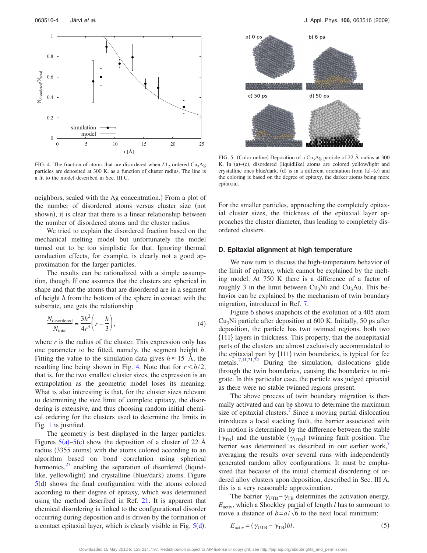<span id="page-4-0"></span>

FIG. 4. The fraction of atoms that are disordered when  $L1_2$ -ordered Cu<sub>3</sub>Ag particles are deposited at 300 K, as a function of cluster radius. The line is a fit to the model described in Sec. III C.

neighbors, scaled with the Ag concentration.) From a plot of the number of disordered atoms versus cluster size (not shown), it is clear that there is a linear relationship between the number of disordered atoms and the cluster radius.

We tried to explain the disordered fraction based on the mechanical melting model but unfortunately the model turned out to be too simplistic for that. Ignoring thermal conduction effects, for example, is clearly not a good approximation for the larger particles.

The results can be rationalized with a simple assumption, though. If one assumes that the clusters are spherical in shape and that the atoms that are disordered are in a segment of height *h* from the bottom of the sphere in contact with the substrate, one gets the relationship

$$
\frac{N_{\text{disordered}}}{N_{\text{total}}} = \frac{3h^2}{4r^3} \left( r - \frac{h}{3} \right),\tag{4}
$$

where  $r$  is the radius of the cluster. This expression only has one parameter to be fitted, namely, the segment height *h*. Fitting the value to the simulation data gives  $h \approx 15$  Å, the resulting line being shown in Fig. [4.](#page-4-0) Note that for  $r < h/2$ , that is, for the two smallest cluster sizes, the expression is an extrapolation as the geometric model loses its meaning. What is also interesting is that, for the cluster sizes relevant to determining the size limit of complete epitaxy, the disordering is extensive, and thus choosing random initial chemical ordering for the clusters used to determine the limits in Fig. [1](#page-2-0) is justified.

The geometry is best displayed in the larger particles. Figures  $5(a)$  $5(a)$ – $5(c)$  show the deposition of a cluster of 22 Å radius (3355 atoms) with the atoms colored according to an algorithm based on bond correlation using spherical harmonics, $^{27}$  enabling the separation of disordered (liquidlike, yellow/light) and crystalline (blue/dark) atoms. Figure  $5(d)$  $5(d)$  shows the final configuration with the atoms colored according to their degree of epitaxy, which was determined using the method described in Ref. [21.](#page-6-19) It is apparent that chemical disordering is linked to the configurational disorder occurring during deposition and is driven by the formation of a contact epitaxial layer, which is clearly visible in Fig.  $5(d)$  $5(d)$ .

<span id="page-4-1"></span>

FIG. 5. (Color online) Deposition of a Cu<sub>3</sub>Ag particle of 22 Å radius at 300 K. In (a)-(c), disordered (liquidlike) atoms are colored yellow/light and crystalline ones blue/dark. (d) is in a different orientation from  $(a)$ – $(c)$  and the coloring is based on the degree of epitaxy, the darker atoms being more epitaxial.

For the smaller particles, approaching the completely epitaxial cluster sizes, the thickness of the epitaxial layer approaches the cluster diameter, thus leading to completely disordered clusters.

#### **D. Epitaxial alignment at high temperature**

We now turn to discuss the high-temperature behavior of the limit of epitaxy, which cannot be explained by the melting model. At 750 K there is a difference of a factor of roughly 3 in the limit between  $Cu<sub>3</sub>Ni$  and  $Cu<sub>3</sub>Au$ . This behavior can be explained by the mechanism of twin boundary migration, introduced in Ref. [7.](#page-6-6)

Figure [6](#page-5-0) shows snapshots of the evolution of a 405 atom  $Cu<sub>3</sub>Ni$  particle after deposition at 600 K. Initially, 50 ps after deposition, the particle has two twinned regions, both two 111 layers in thickness. This property, that the nonepitaxial parts of the clusters are almost exclusively accommodated to the epitaxial part by  $\{111\}$  twin boundaries, is typical for fcc metals.<sup>7,[11,](#page-6-9)[21](#page-6-19)[,22](#page-6-20)</sup> During the simulation, dislocations glide through the twin boundaries, causing the boundaries to migrate. In this particular case, the particle was judged epitaxial as there were no stable twinned regions present.

The above process of twin boundary migration is thermally activated and can be shown to determine the maximum size of epitaxial clusters.<sup>7</sup> Since a moving partial dislocation introduces a local stacking fault, the barrier associated with its motion is determined by the difference between the stable  $(\gamma_{TB})$  and the unstable  $(\gamma_{UTB})$  twinning fault position. The barrier was determined as described in our earlier work, averaging the results over several runs with independently generated random alloy configurations. It must be emphasized that because of the initial chemical disordering of ordered alloy clusters upon deposition, described in Sec. III A, this is a very reasonable approximation.

The barrier  $\gamma_{UTB} - \gamma_{TB}$  determines the activation energy, *E*activ, which a Shockley partial of length *l* has to surmount to move a distance of  $b=a/\sqrt{6}$  to the next local minimum:

<span id="page-4-2"></span>
$$
E_{\text{activ}} = (\gamma_{\text{UTB}} - \gamma_{\text{TB}})bl. \tag{5}
$$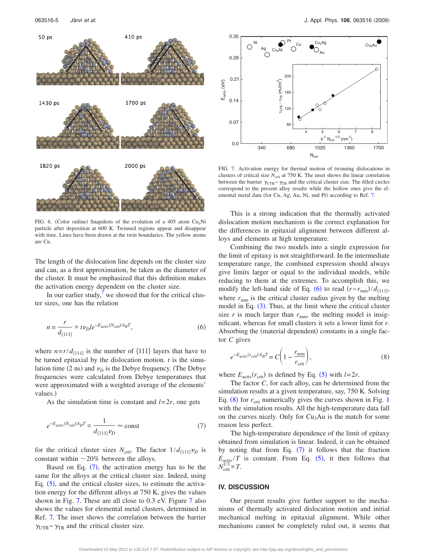<span id="page-5-0"></span>

FIG. 6. (Color online) Snapshots of the evolution of a 405 atom Cu<sub>3</sub>Ni particle after deposition at 600 K. Twinned regions appear and disappear with time. Lines have been drawn at the twin boundaries. The yellow atoms are Cu.

The length of the dislocation line depends on the cluster size and can, as a first approximation, be taken as the diameter of the cluster. It must be emphasized that this definition makes the activation energy dependent on the cluster size.

In our earlier study, $\prime$  we showed that for the critical cluster sizes, one has the relation

<span id="page-5-3"></span>
$$
n = \frac{r}{d_{\{111\}}} \propto t \nu_D l e^{-E_{\text{activity}}(N_{\text{crit}})/k_B T},\tag{6}
$$

where  $n=r/d_{\{111\}}$  is the number of  $\{111\}$  layers that have to be turned epitaxial by the dislocation motion. *t* is the simulation time  $(2 \text{ ns})$  and  $\nu_D$  is the Debye frequency. (The Debye frequencies were calculated from Debye temperatures that were approximated with a weighted average of the elements' values.)

As the simulation time is constant and  $l=2r$ , one gets

<span id="page-5-1"></span>
$$
e^{-E_{\text{activ}}(N_{\text{crit}})/k_B T} \propto \frac{1}{d_{\{111\}}\nu_D} \approx \text{const}
$$
 (7)

for the critical cluster sizes  $N_{\text{crit}}$ . The factor  $1/d_{\{111\}}\nu_D$  is constant within  $\sim$ 20% between the alloys.

Based on Eq.  $(7)$  $(7)$  $(7)$ , the activation energy has to be the same for the alloys at the critical cluster size. Indeed, using Eq.  $(5)$  $(5)$  $(5)$ , and the critical cluster sizes, to estimate the activation energy for the different alloys at 750 K, gives the values shown in Fig. [7.](#page-5-2) These are all close to 0.3 eV. Figure [7](#page-5-2) also shows the values for elemental metal clusters, determined in Ref. [7.](#page-6-6) The inset shows the correlation between the barrier  $\gamma_{\text{UTB}} - \gamma_{\text{TB}}$  and the critical cluster size.

<span id="page-5-2"></span>

FIG. 7. Activation energy for thermal motion of twinning dislocations in clusters of critical size  $N_{\text{crit}}$  at 750 K. The inset shows the linear correlation between the barrier  $\gamma_{UTB} - \gamma_{TB}$  and the critical cluster size. The filled circles correspond to the present alloy results while the hollow ones give the el-emental metal data (for Cu, Ag, Au, Ni, and Pt) according to Ref. [7.](#page-6-6)

This is a strong indication that the thermally activated dislocation motion mechanism is the correct explanation for the differences in epitaxial alignment between different alloys and elements at high temperature.

Combining the two models into a single expression for the limit of epitaxy is not straightforward. In the intermediate temperature range, the combined expression should always give limits larger or equal to the individual models, while reducing to them at the extremes. To accomplish this, we modify the left-hand side of Eq. ([6](#page-5-3)) to read  $(r-r_{\text{mm}})/d_{\{111\}}$ , where  $r_{\text{mm}}$  is the critical cluster radius given by the melting model in Eq. ([3](#page-3-2)). Thus, at the limit where the critical cluster size  $r$  is much larger than  $r_{\text{mm}}$ , the melting model is insignificant, whereas for small clusters it sets a lower limit for *r*. Absorbing the (material dependent) constants in a single factor *C* gives

<span id="page-5-4"></span>
$$
e^{-E_{\text{activity}}(r_{\text{crit}})/k_B T} = C \left(1 - \frac{r_{\text{mm}}}{r_{\text{crit}}}\right),\tag{8}
$$

where  $E_{\text{activity}}(r_{\text{crit}})$  is defined by Eq. ([5](#page-4-2)) with  $l=2r$ .

The factor *C*, for each alloy, can be determined from the simulation results at a given temperature, say, 750 K. Solving Eq.  $(8)$  $(8)$  $(8)$  for  $r_{\text{crit}}$  numerically gives the curves shown in Fig. [1](#page-2-0) with the simulation results. All the high-temperature data fall on the curves nicely. Only for  $Cu<sub>3</sub>Au$  is the match for some reason less perfect.

The high-temperature dependence of the limit of epitaxy obtained from simulation is linear. Indeed, it can be obtained by noting that from Eq.  $(7)$  $(7)$  $(7)$  it follows that the fraction  $E_{\text{activity}}/T$  is constant. From Eq. ([5](#page-4-2)), it then follows that  $N_{\text{crit}}^{1/3} \propto T$ .

#### **IV. DISCUSSION**

Our present results give further support to the mechanisms of thermally activated dislocation motion and initial mechanical melting in epitaxial alignment. While other mechanisms cannot be completely ruled out, it seems that